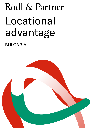# Rödl & Partner

## Locational advantage

## BULGARIA

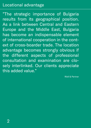## Locational advantage

"The strategic importance of Bulgaria results from its geographical position. As a link between Central and Eastern Europe and the Middle East, Bulgaria has become an indispensable element of international cooperation in the context of cross-boarder trade. The location advantage becomes strongly obvious if the different aspects of professional consultation and examination are closely interlinked. Our clients appreciate this added value."

Rödl & Partner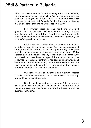After the severe economic and banking crisis of mid-1990s, Bulgaria needed quite a long time to regain its economic stability. A clear trend change came as late as 2001. The result: the EU's 2002 progress report assessed Bulgaria for the first as a functioning market economy, ensuring its EU accession in 2007.

Low inflation rates on one hand and sustained growth rates on the other will support the country's further stabilisation in the near future. Creating a healthy economic policy and encouraging foreign direct investment are presently the country's top political objectives.

Rödl & Partner provides advisory services to its clients in Bulgaria from two locations. Since 2007 we are represented through our office in Sofia, the most populated city in Bulgaria and also the country's most important commercial centre. Rödl & Partner is active in Plovdiv – the city of the Seven Hills – since 2009 and therefore knows the advantages of this location. Not only the renowned International Fair Plovdiv has been an important driving force behind the city's economy. Also a well-developed rail and road transport network, as well as an international airport ensure optimum conditions for trade and commerce.

Our local teams of Bulgarian and German experts provide comprehensive advice on all issues related to accounting, law, audit services and taxation.

Due to our longstanding presence in Bulgaria, we are well-versed with the specific challenges and opportunities of the local market and specialise in supporting investors in doing business in Bulgaria.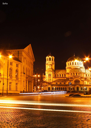

4<br>4<br>7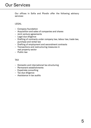Our offices in Sofia and Plovdiv offer the following advisory services:

#### LEGAL

- Company foundation
- Acquisition and sales of companies and shares
- Joint venture agreements
- Legal due diligence
- Drafting of contracts under company law, labour law, trade law, purchase and rental law
- Drafting of employment and secondment contracts
- Transactions and restructuring measures in real property sector
- Public law

#### TAX

- Domestic and international tax structuring
- Permanent establishments
- Expatriate consulting
- Tax due diligence
- Assistance in tax audits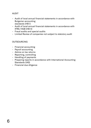### AUDIT

- Audit of local annual financial statements in accordance with Bulgarian accounting standards (HB I)
- Audit of local annual financial statements in accordance with IFRS / HGB (HB II)
- Fraud audits and special audits
- Limited Review of companies not subject to statutory audit

#### **OUTSOURCING**

- Financial accounting
- Payroll accounting
- Advice on tax returns
- Reporting, controlling
- Handling of payments
- Preparing reports in accordance with International Accounting Standards (IAS)
- Financial due diligence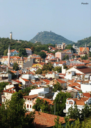

複

n in i

 $\overline{\mathbf{m}}$ 

THE CH

Hgh

**Ting** 

iň

**Cum** 

TENTER

A

FRIT

ī Ō

 $\overline{r}$ 

n

TEUR

四

**CAT A** 

THE N

THE R

Г

m

7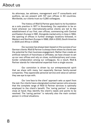As attorneys, tax advisers, management and IT consultants and auditors, we are present with 107 own offices in 50 countries. Worldwide, our clients trust our 5,260 colleagues.

The history of Rödl & Partner goes back to its foundation as a solo practice in 1977 in Nuremberg. Our aspiration to be on hand wherever our internationally-active clients are led to the establishment of our first, own offices, commencing with Central and Eastern Europe in 1991. Alongside market entry in Asia in 1994, the opening of offices in further strategic locations followed, in Western and Northern Europe in 1998, USA in 2000, South America in 2005 and Africa in 2008.

Our success has always been based on the success of our German clients: Rödl & Partner is always there where its clients see the potential for their business engagement. Rather than create an artificial network of franchises or affiliates, we have chosen to set up our own offices and rely on close, multidisciplinary and crossborder collaboration among our colleagues. As a result, Rödl  & Partner stands for international expertise from a single source.

Our conviction is driven by our entrepreneurial spirit that we share with many, but especially German family-owned companies. They appreciate personal service and value an advisor they see eye to eye with.

Our 'one face to the client' approach sets us apart from the rest. Our clients have a designated contact person who ensures that the complete range of Rödl & Partner services is optimally employed to the client's benefit. The 'caring partner' is always close at hand; they identify the client's needs and points to be resolved. The 'caring partner' is naturally also the main contact person in critical situations.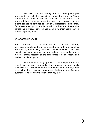We also stand out through our corporate philosophy and client care, which is based on mutual trust and long-term orientation. We rely on renowned specialists who think in an interdisciplinary manner, since the needs and projects of our clients cannot be confined to individual professional disciplines. Our one-stop-shop concept is based on a balance of expertise across the individual service lines, combining them seamlessly in multidisciplinary teams.

#### WHAT SETS US APART

Rödl & Partner is not a collection of accountants, auditors, attorneys, management and tax consultants working in parallel. We work together, closely interlinked across all service lines. We think from a market perspective, from a client's perspective, where a project team possesses all the capabilities to be successful and realise our client's goals.

Our interdisciplinary approach is not unique, nor is our global reach or our particularly strong presence among family businesses. It is the combination that cannot be found anywhere else – a firm that is devoted to comprehensively supporting German businesses, wherever in the world they might be.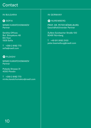## **Contact**

### IN BULGARIA **IN GERMANY**

## **O** SOFIA

MINKO KARATCHOMAKOV Partner

Serdika Offices Bul. Sitnyakovo 48 6th floor 1505 Sofia

T +359 2 8182 770 sofia@roedl.com

## **O** PLOVDIV

MINKO KARATCHOMAKOV Partner

Pobeda Strasse 31 4000 Plovdiv

T +359 2 8182 770 minko.karatchomakov@roedl.com

## O NUREMBERG

PROF. DR. PETER BÖMELBURG Geschäftsführender Partner

Äußere Sulzbacher Straße 100 90491 Nürnberg

T +49 911 9193 2100 peter.boemelburg@roedl.com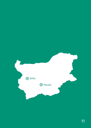